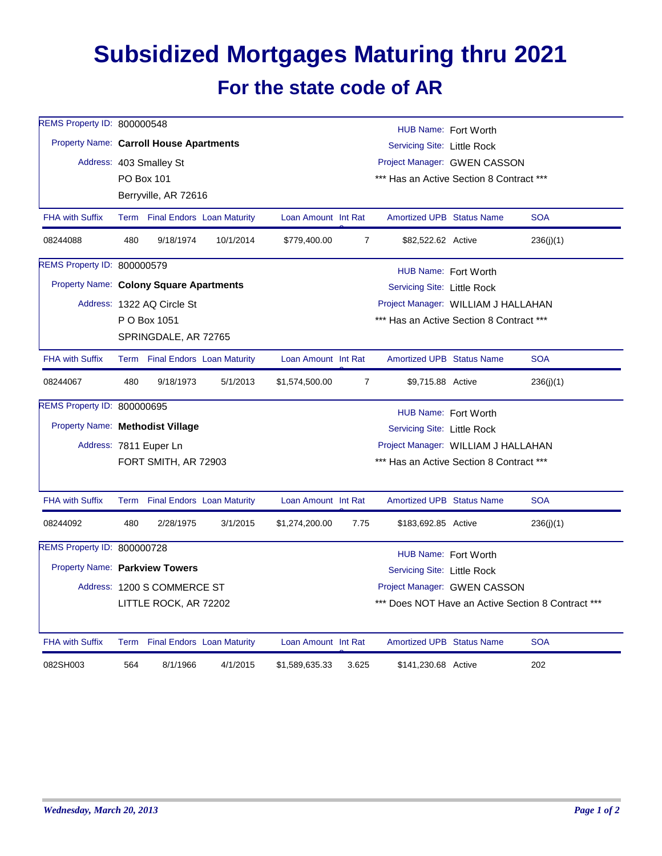## **Subsidized Mortgages Maturing thru 2021 For the state code of AR**

| REMS Property ID: 800000548                    |                                                         | HUB Name: Fort Worth        |                                 |                                          |                              |                                                    |  |            |  |  |  |
|------------------------------------------------|---------------------------------------------------------|-----------------------------|---------------------------------|------------------------------------------|------------------------------|----------------------------------------------------|--|------------|--|--|--|
| <b>Property Name: Carroll House Apartments</b> |                                                         |                             |                                 | Servicing Site: Little Rock              |                              |                                                    |  |            |  |  |  |
|                                                | Project Manager: GWEN CASSON<br>Address: 403 Smalley St |                             |                                 |                                          |                              |                                                    |  |            |  |  |  |
|                                                |                                                         | <b>PO Box 101</b>           |                                 | *** Has an Active Section 8 Contract *** |                              |                                                    |  |            |  |  |  |
|                                                |                                                         | Berryville, AR 72616        |                                 |                                          |                              |                                                    |  |            |  |  |  |
| <b>FHA with Suffix</b>                         |                                                         |                             | Term Final Endors Loan Maturity | Loan Amount Int Rat                      |                              | Amortized UPB Status Name                          |  | <b>SOA</b> |  |  |  |
| 08244088                                       | 480                                                     | 9/18/1974                   | 10/1/2014                       | \$779,400.00                             | $\overline{7}$               | \$82,522.62 Active                                 |  | 236(j)(1)  |  |  |  |
| REMS Property ID: 800000579                    | HUB Name: Fort Worth                                    |                             |                                 |                                          |                              |                                                    |  |            |  |  |  |
| Property Name: Colony Square Apartments        |                                                         |                             |                                 |                                          |                              | Servicing Site: Little Rock                        |  |            |  |  |  |
|                                                |                                                         | Address: 1322 AQ Circle St  |                                 |                                          |                              | Project Manager: WILLIAM J HALLAHAN                |  |            |  |  |  |
|                                                |                                                         | P O Box 1051                |                                 |                                          |                              | *** Has an Active Section 8 Contract ***           |  |            |  |  |  |
|                                                |                                                         | SPRINGDALE, AR 72765        |                                 |                                          |                              |                                                    |  |            |  |  |  |
| <b>FHA with Suffix</b>                         |                                                         |                             | Term Final Endors Loan Maturity | Loan Amount Int Rat                      |                              | <b>Amortized UPB Status Name</b>                   |  | <b>SOA</b> |  |  |  |
| 08244067                                       | 480                                                     | 9/18/1973                   | 5/1/2013                        | \$1,574,500.00                           | $\overline{7}$               | \$9,715.88 Active                                  |  | 236(j)(1)  |  |  |  |
| REMS Property ID: 800000695                    | HUB Name: Fort Worth                                    |                             |                                 |                                          |                              |                                                    |  |            |  |  |  |
| Property Name: Methodist Village               |                                                         |                             |                                 | <b>Servicing Site: Little Rock</b>       |                              |                                                    |  |            |  |  |  |
|                                                |                                                         | Address: 7811 Euper Ln      |                                 | Project Manager: WILLIAM J HALLAHAN      |                              |                                                    |  |            |  |  |  |
|                                                |                                                         | FORT SMITH, AR 72903        |                                 | *** Has an Active Section 8 Contract *** |                              |                                                    |  |            |  |  |  |
| <b>FHA with Suffix</b>                         |                                                         |                             | Term Final Endors Loan Maturity | Loan Amount Int Rat                      |                              | <b>Amortized UPB Status Name</b>                   |  | <b>SOA</b> |  |  |  |
| 08244092                                       | 480                                                     | 2/28/1975                   | 3/1/2015                        | \$1,274,200.00                           | 7.75                         | \$183,692.85 Active                                |  | 236(j)(1)  |  |  |  |
| REMS Property ID: 800000728                    | HUB Name: Fort Worth                                    |                             |                                 |                                          |                              |                                                    |  |            |  |  |  |
| Property Name: Parkview Towers                 |                                                         |                             |                                 |                                          | Servicing Site: Little Rock  |                                                    |  |            |  |  |  |
|                                                |                                                         | Address: 1200 S COMMERCE ST |                                 |                                          | Project Manager: GWEN CASSON |                                                    |  |            |  |  |  |
|                                                |                                                         | LITTLE ROCK, AR 72202       |                                 |                                          |                              | *** Does NOT Have an Active Section 8 Contract *** |  |            |  |  |  |
| <b>FHA with Suffix</b>                         |                                                         |                             | Term Final Endors Loan Maturity | Loan Amount Int Rat                      |                              | <b>Amortized UPB Status Name</b>                   |  | <b>SOA</b> |  |  |  |
| 082SH003                                       | 564                                                     | 8/1/1966                    | 4/1/2015                        | \$1,589,635.33                           | 3.625                        | \$141,230.68 Active                                |  | 202        |  |  |  |